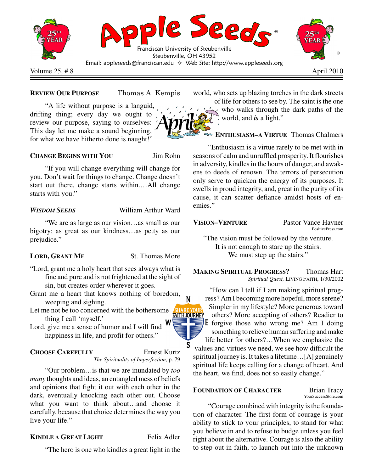

#### **REVIEW OUR PURPOSE** omas A. Kempis

"A life without purpose is a languid, drifting thing; every day we ought to review our purpose, saying to ourselves: This day let me make a sound beginning, for what we have hitherto done is naught!"

**CHANGE BEGINS WITH YOU** Jim Rohn

"If you will change everything will change for you. Don't wait for things to change. Change doesn't start out there, change starts within.…All change starts with you."

### *WISDOM SEEDS* William Arthur Ward

"We are as large as our vision…as small as our bigotry; as great as our kindness…as petty as our prejudice."

### **LORD, GRANT ME** St. Thomas More

"Lord, grant me a holy heart that sees always what is fine and pure and is not frightened at the sight of

sin, but creates order wherever it goes.

- Grant me a heart that knows nothing of boredom, weeping and sighing.
- Let me not be too concerned with the bothersome thing I call 'myself.'

Lord, give me a sense of humor and I will find happiness in life, and profit for others."

## **CHOOSE CAREFULLY** Ernest Kurtz

# *The Spirituality of Imperfection,* p. 79

"Our problem…is that we are inundated by *too many* thoughts and ideas, an entangled mess of beliefs and opinions that fight it out with each other in the dark, eventually knocking each other out. Choose what you want to think about…and choose it carefully, because that choice determines the way you live your life."

### **KINDLE A GREAT LIGHT** Felix Adler

"The hero is one who kindles a great light in the

world, who sets up blazing torches in the dark streets

of life for others to see by. The saint is the one who walks through the dark paths of the world, and *is* a light."

### **ENTHUSIASM–A VIRTUE** Thomas Chalmers

"Enthusiasm is a virtue rarely to be met with in seasons of calm and unruffled prosperity. It flourishes in adversity, kindles in the hours of danger, and awakens to deeds of renown. The terrors of persecution only serve to quicken the energy of its purposes. It swells in proud integrity, and, great in the purity of its cause, it can scatter defiance amidst hosts of enemies."

**VISION–VENTURE** Pastor Vance Havner PositivePress.com

"The vision must be followed by the venture. It is not enough to stare up the stairs. We must step up the stairs."

**MAKING SPIRITUAL PROGRESS?** Thomas Hart *Spiritual Quest,* LIVING FAITH, 1/30/2002

"How can I tell if I am making spiritual progress? AmI becoming more hopeful, more serene? Simpler in my lifestyle? More generous toward **FAITH JOURNEY** others? More accepting of others? Readier to **E** forgive those who wrong me? Am I doing something to relieve human suffering and make life better for others?…When we emphasize the values and virtues we need, we see how difficult the spiritual journey is. It takes a lifetime…[A] genuinely spiritual life keeps calling for a change of heart. And the heart, we find, does not so easily change."

### **FOUNDATION OF CHARACTER** Brian Tracy

YourSuccessStore.com

"Courage combined with integrity isthe foundation of character. The first form of courage is your ability to stick to your principles, to stand for what you believe in and to refuse to budge unless you feel right about the alternative. Courage is also the ability to step out in faith, to launch out into the unknown



N

S